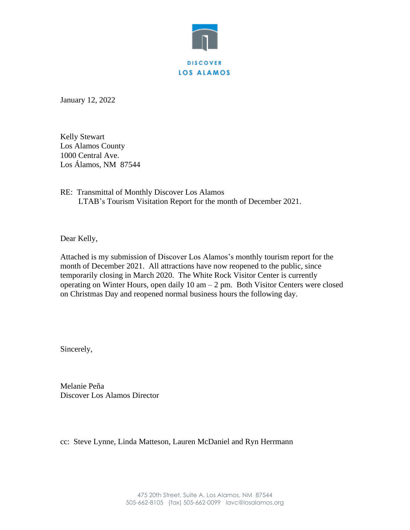

January 12, 2022

Kelly Stewart Los Alamos County 1000 Central Ave. Los Álamos, NM 87544

RE: Transmittal of Monthly Discover Los Alamos LTAB's Tourism Visitation Report for the month of December 2021.

Dear Kelly,

Attached is my submission of Discover Los Alamos's monthly tourism report for the month of December 2021. All attractions have now reopened to the public, since temporarily closing in March 2020. The White Rock Visitor Center is currently operating on Winter Hours, open daily 10 am – 2 pm. Both Visitor Centers were closed on Christmas Day and reopened normal business hours the following day.

Sincerely,

Melanie Peña Discover Los Alamos Director

cc: Steve Lynne, Linda Matteson, Lauren McDaniel and Ryn Herrmann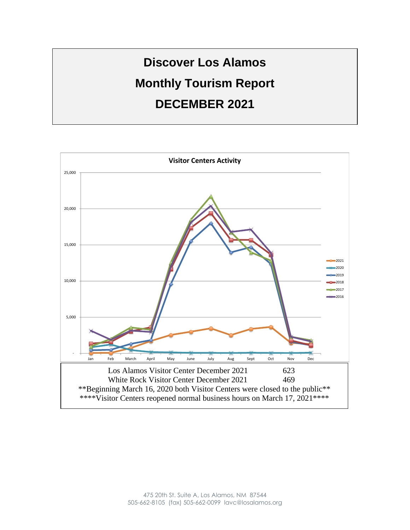

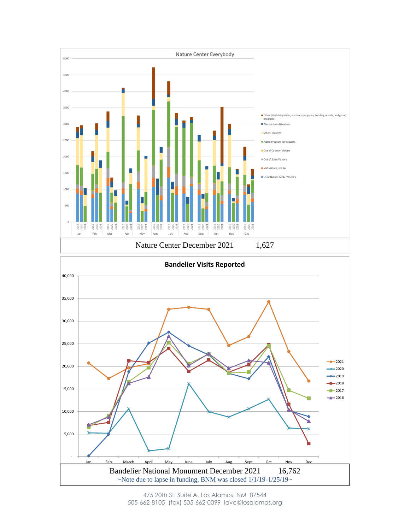

475 20th St. Suite A, Los Alamos, NM 87544 505-662-8105 (fax) 505-662-0099 lavc@losalamos.org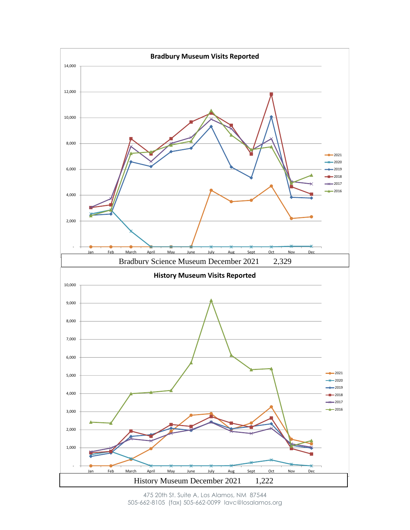

475 20th St. Suite A, Los Alamos, NM 87544 505-662-8105 (fax) 505-662-0099 lavc@losalamos.org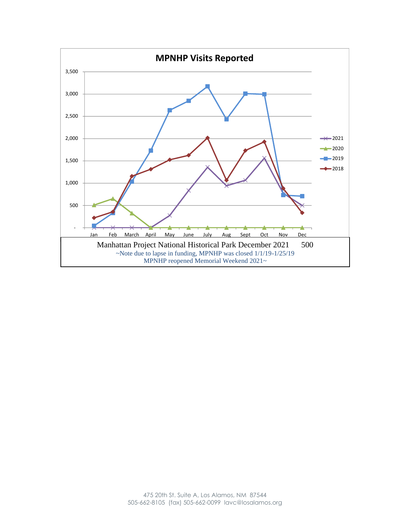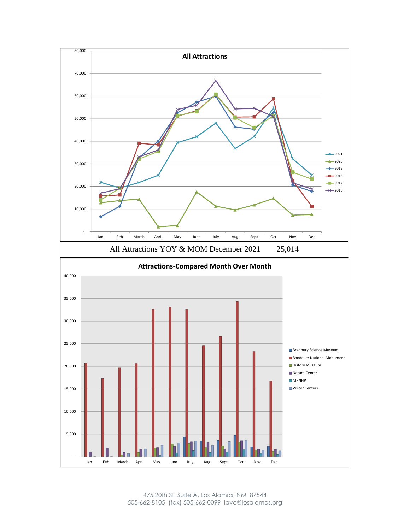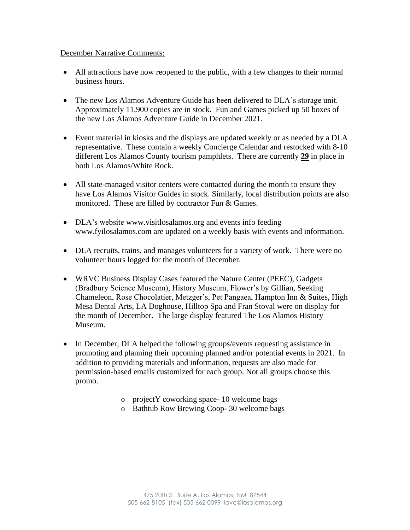## December Narrative Comments:

- All attractions have now reopened to the public, with a few changes to their normal business hours.
- The new Los Alamos Adventure Guide has been delivered to DLA's storage unit. Approximately 11,900 copies are in stock. Fun and Games picked up 50 boxes of the new Los Alamos Adventure Guide in December 2021.
- Event material in kiosks and the displays are updated weekly or as needed by a DLA representative. These contain a weekly Concierge Calendar and restocked with 8-10 different Los Alamos County tourism pamphlets. There are currently **29** in place in both Los Alamos/White Rock.
- All state-managed visitor centers were contacted during the month to ensure they have Los Alamos Visitor Guides in stock. Similarly, local distribution points are also monitored. These are filled by contractor Fun & Games.
- DLA's website www.visitlosalamos.org and events info feeding www.fyilosalamos.com are updated on a weekly basis with events and information.
- DLA recruits, trains, and manages volunteers for a variety of work. There were no volunteer hours logged for the month of December.
- WRVC Business Display Cases featured the Nature Center (PEEC), Gadgets (Bradbury Science Museum), History Museum, Flower's by Gillian, Seeking Chameleon, Rose Chocolatier, Metzger's, Pet Pangaea, Hampton Inn & Suites, High Mesa Dental Arts, LA Doghouse, Hilltop Spa and Fran Stoval were on display for the month of December. The large display featured The Los Alamos History Museum.
- In December, DLA helped the following groups/events requesting assistance in promoting and planning their upcoming planned and/or potential events in 2021. In addition to providing materials and information, requests are also made for permission-based emails customized for each group. Not all groups choose this promo.
	- o projectY coworking space- 10 welcome bags
	- o Bathtub Row Brewing Coop- 30 welcome bags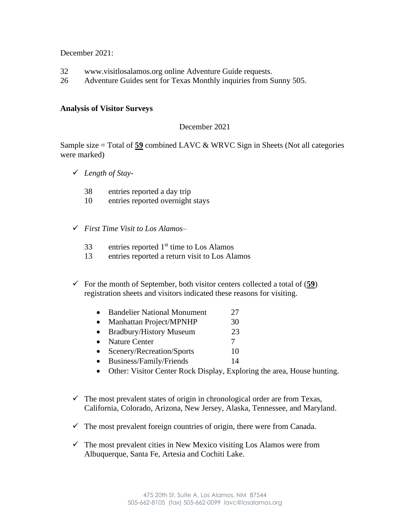December 2021:

- 32 www.visitlosalamos.org online Adventure Guide requests.
- 26 Adventure Guides sent for Texas Monthly inquiries from Sunny 505.

## **Analysis of Visitor Surveys**

## December 2021

Sample size = Total of **59** combined LAVC & WRVC Sign in Sheets (Not all categories were marked)

- ✓ *Length of Stay*
	- 38 entries reported a day trip
	- 10 entries reported overnight stays
- ✓ *First Time Visit to Los Alamos*
	- $33$  entries reported  $1<sup>st</sup>$  time to Los Alamos
	- 13 entries reported a return visit to Los Alamos
- $\checkmark$  For the month of September, both visitor centers collected a total of (59) registration sheets and visitors indicated these reasons for visiting.
	- Bandelier National Monument 27
	- Manhattan Project/MPNHP 30
	- Bradbury/History Museum 23
	- Nature Center 7
	- Scenery/Recreation/Sports 10
	- Business/Family/Friends 14
	- Other: Visitor Center Rock Display, Exploring the area, House hunting.
- $\checkmark$  The most prevalent states of origin in chronological order are from Texas, California, Colorado, Arizona, New Jersey, Alaska, Tennessee, and Maryland.
- $\checkmark$  The most prevalent foreign countries of origin, there were from Canada.
- $\checkmark$  The most prevalent cities in New Mexico visiting Los Alamos were from Albuquerque, Santa Fe, Artesia and Cochiti Lake.